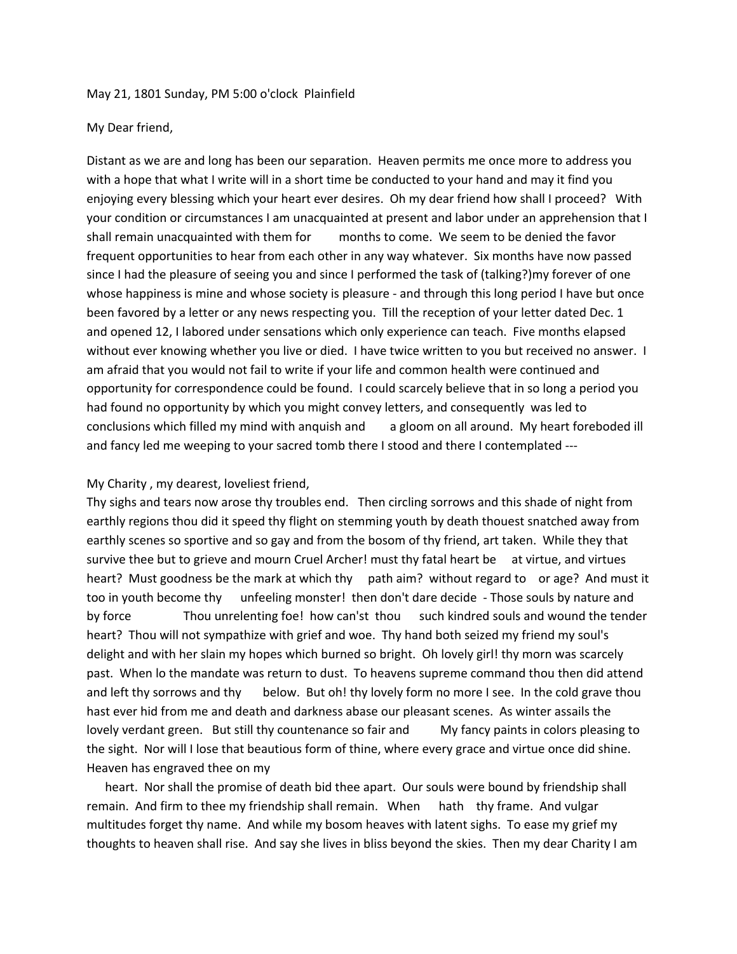## May 21, 1801 Sunday, PM 5:00 o'clock Plainfield

## My Dear friend,

Distant as we are and long has been our separation. Heaven permits me once more to address you with a hope that what I write will in a short time be conducted to your hand and may it find you enjoying every blessing which your heart ever desires. Oh my dear friend how shall I proceed? With your condition or circumstances I am unacquainted at present and labor under an apprehension that I shall remain unacquainted with them for months to come. We seem to be denied the favor frequent opportunities to hear from each other in any way whatever. Six months have now passed since I had the pleasure of seeing you and since I performed the task of (talking?)my forever of one whose happiness is mine and whose society is pleasure - and through this long period I have but once been favored by a letter or any news respecting you. Till the reception of your letter dated Dec. 1 and opened 12, I labored under sensations which only experience can teach. Five months elapsed without ever knowing whether you live or died. I have twice written to you but received no answer. I am afraid that you would not fail to write if your life and common health were continued and opportunity for correspondence could be found. I could scarcely believe that in so long a period you had found no opportunity by which you might convey letters, and consequently was led to conclusions which filled my mind with anguish and a gloom on all around. My heart foreboded ill and fancy led me weeping to your sacred tomb there I stood and there I contemplated ---

## My Charity , my dearest, loveliest friend,

Thy sighs and tears now arose thy troubles end. Then circling sorrows and this shade of night from earthly regions thou did it speed thy flight on stemming youth by death thouest snatched away from earthly scenes so sportive and so gay and from the bosom of thy friend, art taken. While they that survive thee but to grieve and mourn Cruel Archer! must thy fatal heart be at virtue, and virtues heart? Must goodness be the mark at which thy path aim? without regard to or age? And must it too in youth become thy unfeeling monster! then don't dare decide - Those souls by nature and by force Thou unrelenting foe! how can'st thou such kindred souls and wound the tender heart? Thou will not sympathize with grief and woe. Thy hand both seized my friend my soul's delight and with her slain my hopes which burned so bright. Oh lovely girl! thy morn was scarcely past. When lo the mandate was return to dust. To heavens supreme command thou then did attend and left thy sorrows and thy below. But oh! thy lovely form no more I see. In the cold grave thou hast ever hid from me and death and darkness abase our pleasant scenes. As winter assails the lovely verdant green. But still thy countenance so fair and My fancy paints in colors pleasing to the sight. Nor will I lose that beautious form of thine, where every grace and virtue once did shine. Heaven has engraved thee on my

heart. Nor shall the promise of death bid thee apart. Our souls were bound by friendship shall remain. And firm to thee my friendship shall remain. When hath thy frame. And vulgar multitudes forget thy name. And while my bosom heaves with latent sighs. To ease my grief my thoughts to heaven shall rise. And say she lives in bliss beyond the skies. Then my dear Charity I am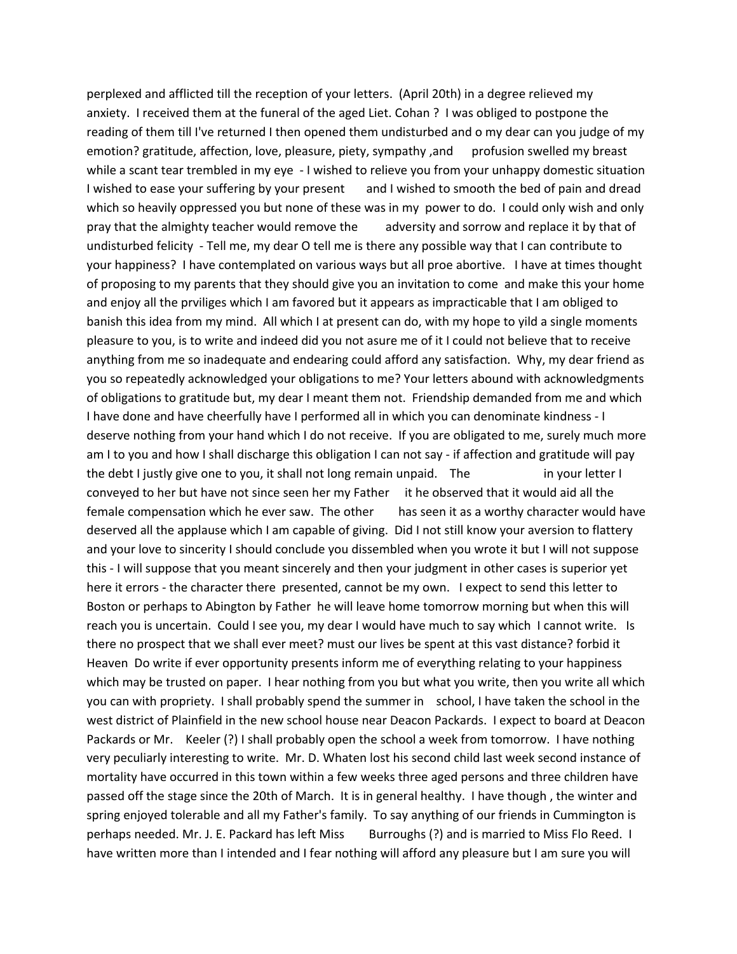perplexed and afflicted till the reception of your letters. (April 20th) in a degree relieved my anxiety. I received them at the funeral of the aged Liet. Cohan ? I was obliged to postpone the reading of them till I've returned I then opened them undisturbed and o my dear can you judge of my emotion? gratitude, affection, love, pleasure, piety, sympathy, and profusion swelled my breast while a scant tear trembled in my eye - I wished to relieve you from your unhappy domestic situation I wished to ease your suffering by your present and I wished to smooth the bed of pain and dread which so heavily oppressed you but none of these was in my power to do. I could only wish and only pray that the almighty teacher would remove the adversity and sorrow and replace it by that of undisturbed felicity - Tell me, my dear O tell me is there any possible way that I can contribute to your happiness? I have contemplated on various ways but all proe abortive. I have at times thought of proposing to my parents that they should give you an invitation to come and make this your home and enjoy all the prviliges which I am favored but it appears as impracticable that I am obliged to banish this idea from my mind. All which I at present can do, with my hope to yild a single moments pleasure to you, is to write and indeed did you not asure me of it I could not believe that to receive anything from me so inadequate and endearing could afford any satisfaction. Why, my dear friend as you so repeatedly acknowledged your obligations to me? Your letters abound with acknowledgments of obligations to gratitude but, my dear I meant them not. Friendship demanded from me and which I have done and have cheerfully have I performed all in which you can denominate kindness - I deserve nothing from your hand which I do not receive. If you are obligated to me, surely much more am I to you and how I shall discharge this obligation I can not say - if affection and gratitude will pay the debt I justly give one to you, it shall not long remain unpaid. The in your letter I conveyed to her but have not since seen her my Father it he observed that it would aid all the female compensation which he ever saw. The other has seen it as a worthy character would have deserved all the applause which I am capable of giving. Did I not still know your aversion to flattery and your love to sincerity I should conclude you dissembled when you wrote it but I will not suppose this - I will suppose that you meant sincerely and then your judgment in other cases is superior yet here it errors - the character there presented, cannot be my own. I expect to send this letter to Boston or perhaps to Abington by Father he will leave home tomorrow morning but when this will reach you is uncertain. Could I see you, my dear I would have much to say which I cannot write. Is there no prospect that we shall ever meet? must our lives be spent at this vast distance? forbid it Heaven Do write if ever opportunity presents inform me of everything relating to your happiness which may be trusted on paper. I hear nothing from you but what you write, then you write all which you can with propriety. I shall probably spend the summer in school, I have taken the school in the west district of Plainfield in the new school house near Deacon Packards. I expect to board at Deacon Packards or Mr. Keeler (?) I shall probably open the school a week from tomorrow. I have nothing very peculiarly interesting to write. Mr. D. Whaten lost his second child last week second instance of mortality have occurred in this town within a few weeks three aged persons and three children have passed off the stage since the 20th of March. It is in general healthy. I have though , the winter and spring enjoyed tolerable and all my Father's family. To say anything of our friends in Cummington is perhaps needed. Mr. J. E. Packard has left Miss Burroughs (?) and is married to Miss Flo Reed. I have written more than I intended and I fear nothing will afford any pleasure but I am sure you will